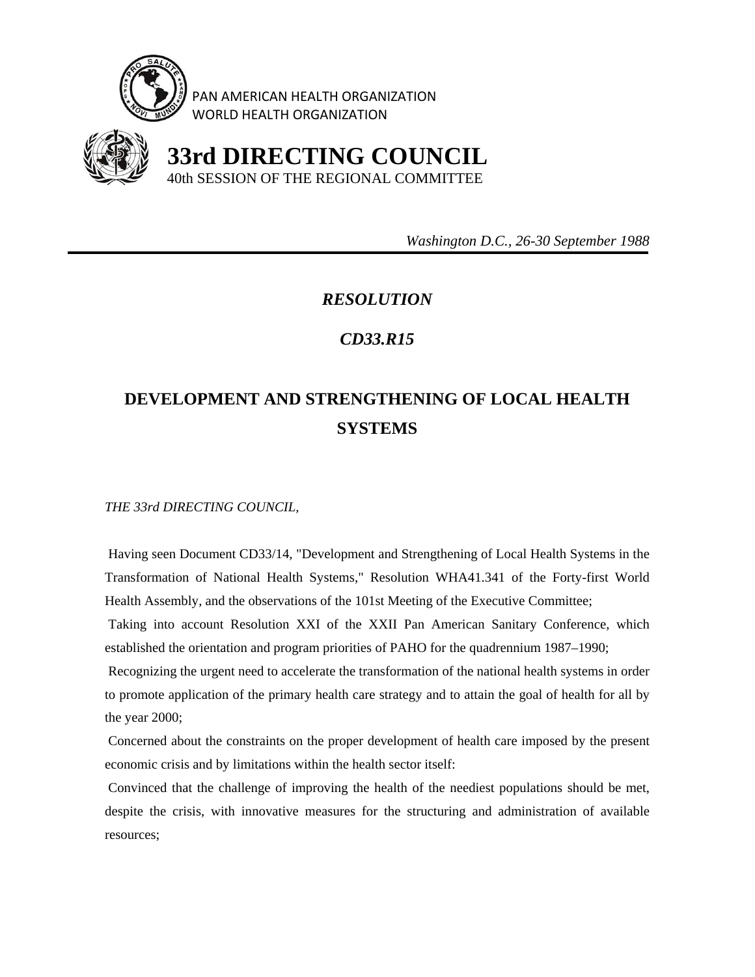

PAN AMERICAN HEALTH ORGANIZATION WORLD HEALTH ORGANIZATION



 **33rd DIRECTING COUNCIL** 40th SESSION OF THE REGIONAL COMMITTEE

 *Washington D.C., 26-30 September 1988* 

## *RESOLUTION*

## *CD33.R15*

## **DEVELOPMENT AND STRENGTHENING OF LOCAL HEALTH SYSTEMS**

*THE 33rd DIRECTING COUNCIL,* 

 Having seen Document CD33/14, "Development and Strengthening of Local Health Systems in the Transformation of National Health Systems," Resolution WHA41.341 of the Forty-first World Health Assembly, and the observations of the 101st Meeting of the Executive Committee;

 Taking into account Resolution XXI of the XXII Pan American Sanitary Conference, which established the orientation and program priorities of PAHO for the quadrennium 1987–1990;

 Recognizing the urgent need to accelerate the transformation of the national health systems in order to promote application of the primary health care strategy and to attain the goal of health for all by the year 2000;

 Concerned about the constraints on the proper development of health care imposed by the present economic crisis and by limitations within the health sector itself:

 Convinced that the challenge of improving the health of the neediest populations should be met, despite the crisis, with innovative measures for the structuring and administration of available resources;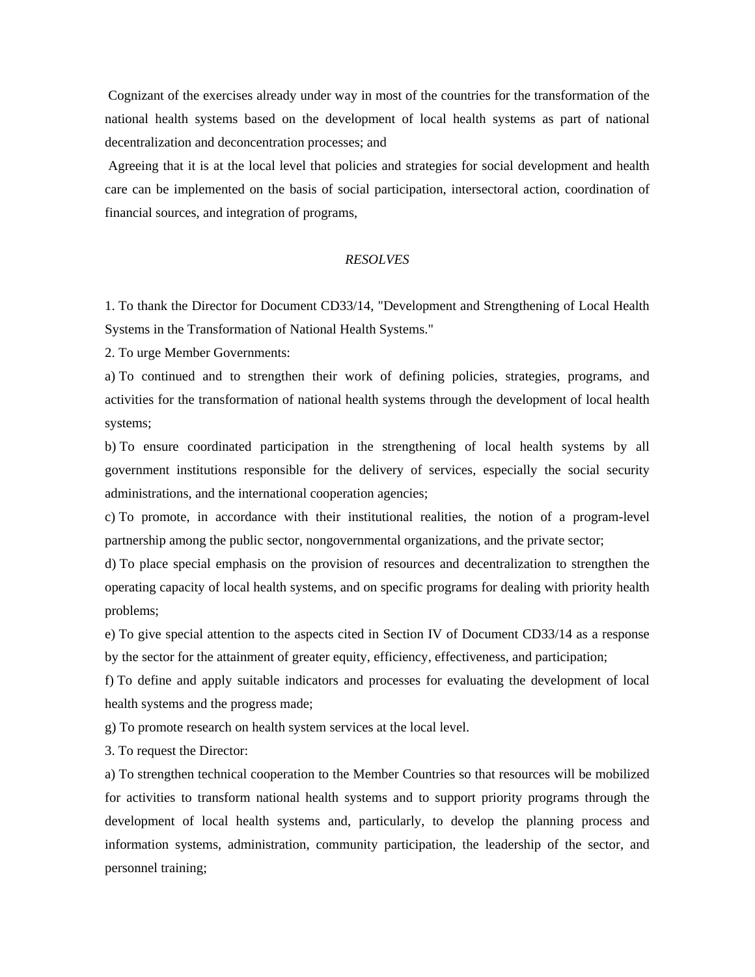Cognizant of the exercises already under way in most of the countries for the transformation of the national health systems based on the development of local health systems as part of national decentralization and deconcentration processes; and

 Agreeing that it is at the local level that policies and strategies for social development and health care can be implemented on the basis of social participation, intersectoral action, coordination of financial sources, and integration of programs,

## *RESOLVES*

1. To thank the Director for Document CD33/14, "Development and Strengthening of Local Health Systems in the Transformation of National Health Systems."

2. To urge Member Governments:

a) To continued and to strengthen their work of defining policies, strategies, programs, and activities for the transformation of national health systems through the development of local health systems;

b) To ensure coordinated participation in the strengthening of local health systems by all government institutions responsible for the delivery of services, especially the social security administrations, and the international cooperation agencies;

c) To promote, in accordance with their institutional realities, the notion of a program-level partnership among the public sector, nongovernmental organizations, and the private sector;

d) To place special emphasis on the provision of resources and decentralization to strengthen the operating capacity of local health systems, and on specific programs for dealing with priority health problems;

e) To give special attention to the aspects cited in Section IV of Document CD33/14 as a response by the sector for the attainment of greater equity, efficiency, effectiveness, and participation;

f) To define and apply suitable indicators and processes for evaluating the development of local health systems and the progress made;

g) To promote research on health system services at the local level.

3. To request the Director:

a) To strengthen technical cooperation to the Member Countries so that resources will be mobilized for activities to transform national health systems and to support priority programs through the development of local health systems and, particularly, to develop the planning process and information systems, administration, community participation, the leadership of the sector, and personnel training;